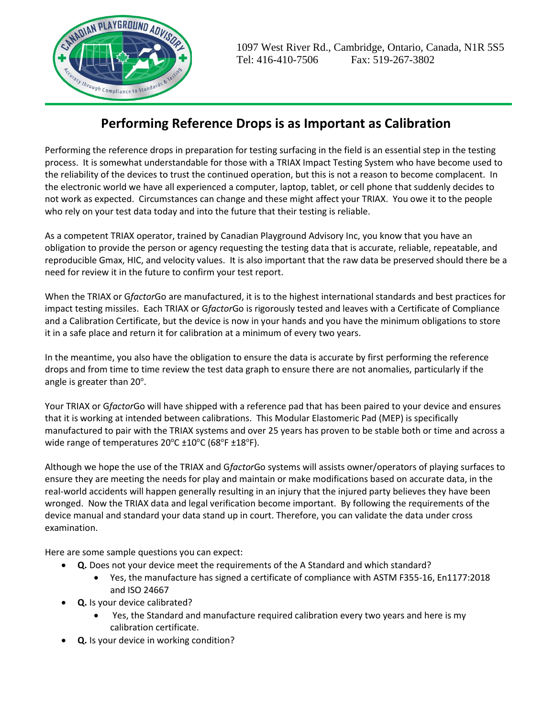

## **Performing Reference Drops is as Important as Calibration**

Performing the reference drops in preparation for testing surfacing in the field is an essential step in the testing process. It is somewhat understandable for those with a TRIAX Impact Testing System who have become used to the reliability of the devices to trust the continued operation, but this is not a reason to become complacent. In the electronic world we have all experienced a computer, laptop, tablet, or cell phone that suddenly decides to not work as expected. Circumstances can change and these might affect your TRIAX. You owe it to the people who rely on your test data today and into the future that their testing is reliable.

As a competent TRIAX operator, trained by Canadian Playground Advisory Inc, you know that you have an obligation to provide the person or agency requesting the testing data that is accurate, reliable, repeatable, and reproducible Gmax, HIC, and velocity values. It is also important that the raw data be preserved should there be a need for review it in the future to confirm your test report.

When the TRIAX or G*factor*Go are manufactured, it is to the highest international standards and best practices for impact testing missiles. Each TRIAX or G*factor*Go is rigorously tested and leaves with a Certificate of Compliance and a Calibration Certificate, but the device is now in your hands and you have the minimum obligations to store it in a safe place and return it for calibration at a minimum of every two years.

In the meantime, you also have the obligation to ensure the data is accurate by first performing the reference drops and from time to time review the test data graph to ensure there are not anomalies, particularly if the angle is greater than 20°.

Your TRIAX or G*factor*Go will have shipped with a reference pad that has been paired to your device and ensures that it is working at intended between calibrations. This Modular Elastomeric Pad (MEP) is specifically manufactured to pair with the TRIAX systems and over 25 years has proven to be stable both or time and across a wide range of temperatures  $20^{\circ}$ C  $\pm 10^{\circ}$ C (68°F  $\pm 18^{\circ}$ F).

Although we hope the use of the TRIAX and G*factor*Go systems will assists owner/operators of playing surfaces to ensure they are meeting the needs for play and maintain or make modifications based on accurate data, in the real-world accidents will happen generally resulting in an injury that the injured party believes they have been wronged. Now the TRIAX data and legal verification become important. By following the requirements of the device manual and standard your data stand up in court. Therefore, you can validate the data under cross examination.

Here are some sample questions you can expect:

- **Q.** Does not your device meet the requirements of the A Standard and which standard?
	- Yes, the manufacture has signed a certificate of compliance with ASTM F355-16, En1177:2018 and ISO 24667
- **Q.** Is your device calibrated?
	- Yes, the Standard and manufacture required calibration every two years and here is my calibration certificate.
- **Q.** Is your device in working condition?